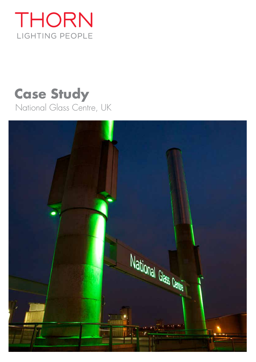

## **Case Study** National Glass Centre, UK

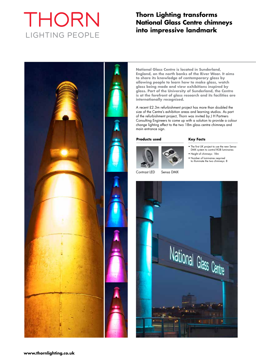# THORN LIGHTING PEOPLE

### **Thorn Lighting transforms National Glass Centre chimneys into impressive landmark**



**National Glass Centre is located in Sunderland, England, on the north banks of the River Wear. It aims to share its knowledge of contemporary glass by allowing people to learn how to make glass, watch glass being made and view exhibitions inspired by glass. Part of the University of Sunderland, the Centre is at the forefront of glass research and its facilities are internationally recognised.**

A recent £2.3m refurbishment project has more than doubled the size of the Centre's exhibition areas and learning studios. As part of the refurbishment project, Thorn was invited by J H Partners Consulting Engineers to come up with a solution to provide a colour change lighting effect to the two 18m glass centre chimneys and main entrance sign.

#### **Products used**



Contrast LED Sensa DMX

#### **Key Facts**

- The first UK project to use the new Sensa DMX system to control RGB luminaires
- Height of chimneys: 18m
- Number of luminaires required to illuminate the two chimneys: 8

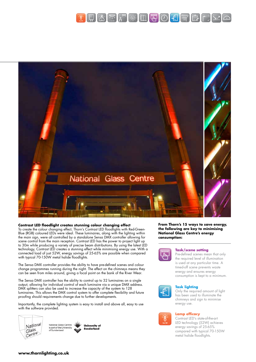



#### **Contrast LED floodlight creates stunning colour changing effect**

To create the colour changing effect, Thorn's Contrast LED floodlights with Red-Green-Blue (RGB) coloured LEDs were ideal. These luminaires, along with the lighting within the main sign, were all controlled by a standalone Sensa DMX controller allowing for scene control from the main reception. Contrast LED has the power to project light up to 30m while producing a variety of precise beam distributions. By using the latest LED technology, Contrast LED creates a stunning effect while minimising energy use. With a connected load of just 52W, energy savings of 25-65% are possible when compared with typical 70-150W metal halide floodlights.

The Sensa DMX controller provides the ability to have pre-defined scenes and colour change programmes running during the night. The effect on the chimneys means they can be seen from miles around, giving a focal point on the bank of the River Wear.

The Sensa DMX controller has the ability to control up to 32 luminaires on a single output, allowing for individual control of each luminaire via a unique DMX address. DMX splitters can also be used to increase the capacity of the system to 128 luminaires. This allows the DMX control system to offer complete flexibility and future proofing should requirements change due to further developments.

Importantly, the complete lighting system is easy to install and above all, easy to use with the software provided.





University of

**From Thorn's 15 ways to save energy, the following are key to minimising National Glass Centre's energy consumption:**



#### **Task/scene setting**

Pre-defined scenes mean that only the required level of illumination is used at any particular time. A timed-off scene prevents waste energy and ensures energy consumption is kept to a minimum.



#### **Task lighting**

Only the required amount of light has been used to illuminate the chimneys and sign to minimise energy use.

#### **Lamp efficacy**

Contrast LED's state-of-the-art LED technology (52W) achieves energy savings of 25-65% compared with typical 70-150W metal halide floodlights.